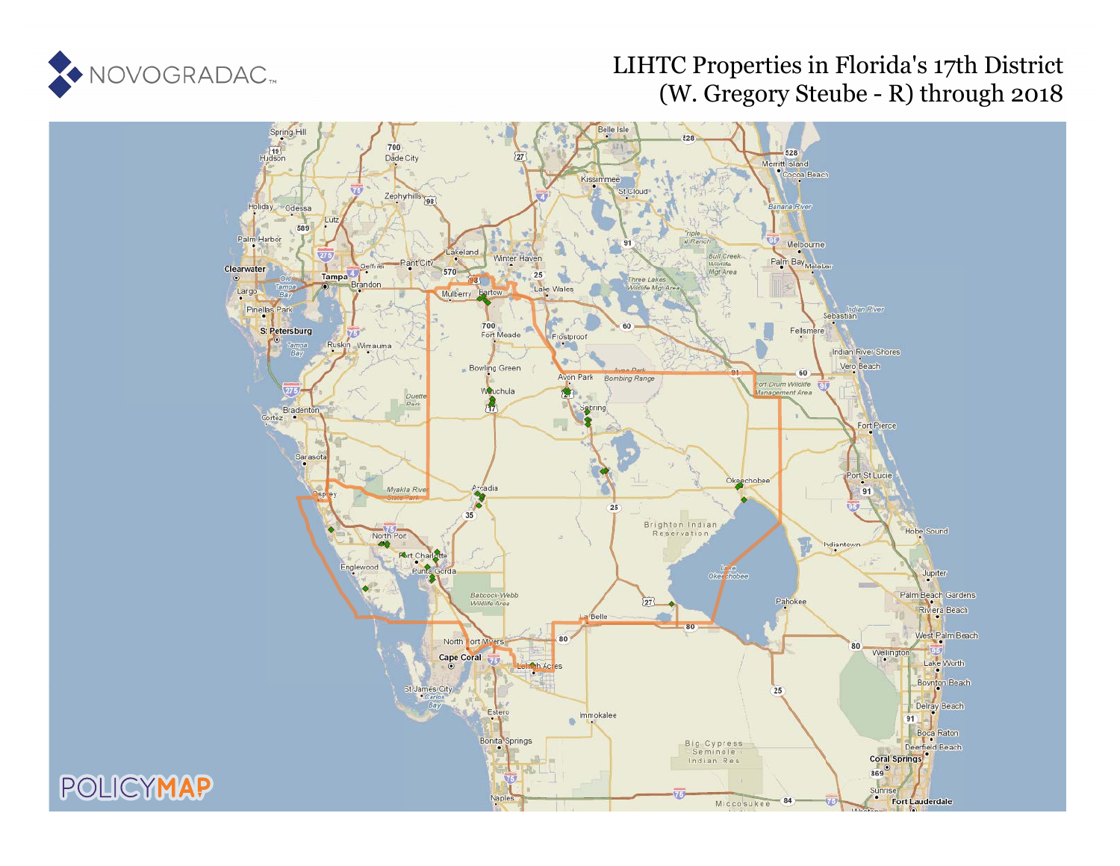

# LIHTC Properties in Florida's 17th District (W. Gregory Steube - R) through 2018

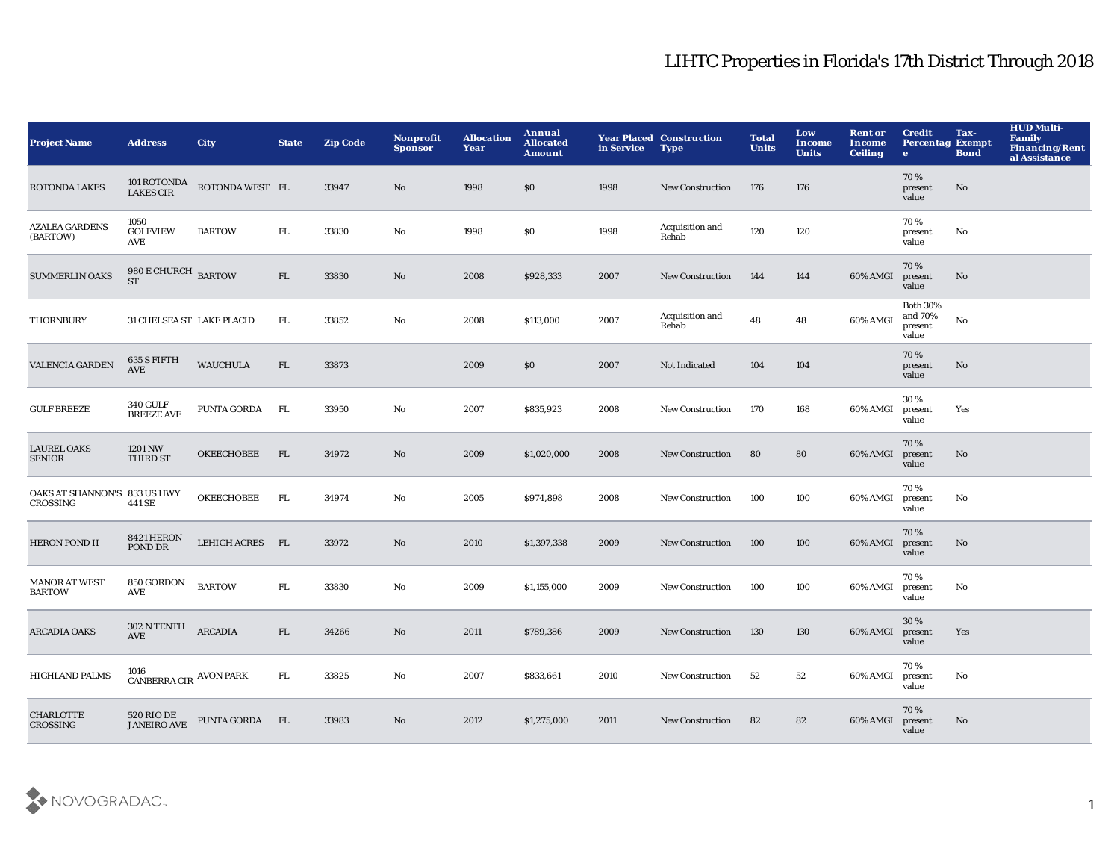| <b>Project Name</b>                      | <b>Address</b>                               | City                        | <b>State</b> | <b>Zip Code</b> | <b>Nonprofit</b><br><b>Sponsor</b> | <b>Allocation</b><br>Year | Annual<br><b>Allocated</b><br><b>Amount</b> | in Service | <b>Year Placed Construction</b><br><b>Type</b> | <b>Total</b><br><b>Units</b> | Low<br>Income<br><b>Units</b> | <b>Rent or</b><br>Income<br><b>Ceiling</b> | <b>Credit</b><br><b>Percentag Exempt</b><br>$\bullet$ | Tax-<br><b>Bond</b> | <b>HUD Multi-</b><br><b>Family</b><br><b>Financing/Rent</b><br>al Assistance |
|------------------------------------------|----------------------------------------------|-----------------------------|--------------|-----------------|------------------------------------|---------------------------|---------------------------------------------|------------|------------------------------------------------|------------------------------|-------------------------------|--------------------------------------------|-------------------------------------------------------|---------------------|------------------------------------------------------------------------------|
| <b>ROTONDA LAKES</b>                     |                                              | 101 ROTONDA ROTONDA WEST FL |              | 33947           | No                                 | 1998                      | \$0                                         | 1998       | <b>New Construction</b>                        | 176                          | 176                           |                                            | 70%<br>present<br>value                               | No                  |                                                                              |
| <b>AZALEA GARDENS</b><br>(BARTOW)        | 1050<br><b>GOLFVIEW</b><br>AVE               | <b>BARTOW</b>               | ${\rm FL}$   | 33830           | $\rm No$                           | 1998                      | \$0                                         | 1998       | Acquisition and<br>Rehab                       | 120                          | 120                           |                                            | 70%<br>present<br>value                               | $\mathbf {No}$      |                                                                              |
| <b>SUMMERLIN OAKS</b>                    | $980\,\mathrm{E}\,\mathrm{CHURCH}$ BARTOW ST |                             | FL           | 33830           | $\rm No$                           | 2008                      | \$928,333                                   | 2007       | <b>New Construction</b>                        | 144                          | 144                           | 60% AMGI                                   | 70%<br>present<br>value                               | No                  |                                                                              |
| <b>THORNBURY</b>                         | 31 CHELSEA ST LAKE PLACID                    |                             | FL.          | 33852           | No                                 | 2008                      | \$113,000                                   | 2007       | Acquisition and<br>Rehab                       | 48                           | 48                            | 60% AMGI                                   | <b>Both 30%</b><br>and 70%<br>present<br>value        | No                  |                                                                              |
| <b>VALENCIA GARDEN</b>                   | 635 S FIFTH<br><b>AVE</b>                    | <b>WAUCHULA</b>             | FL           | 33873           |                                    | 2009                      | \$0                                         | 2007       | Not Indicated                                  | 104                          | 104                           |                                            | 70%<br>present<br>value                               | No                  |                                                                              |
| <b>GULF BREEZE</b>                       | <b>340 GULF</b><br><b>BREEZE AVE</b>         | <b>PUNTA GORDA</b>          | FL.          | 33950           | No                                 | 2007                      | \$835,923                                   | 2008       | <b>New Construction</b>                        | 170                          | 168                           | 60% AMGI                                   | 30%<br>present<br>value                               | Yes                 |                                                                              |
| <b>LAUREL OAKS</b><br><b>SENIOR</b>      | 1201 NW<br>THIRD ST                          | <b>OKEECHOBEE</b>           | FL           | 34972           | $\mathbf{N}\mathbf{o}$             | 2009                      | \$1,020,000                                 | 2008       | <b>New Construction</b>                        | 80                           | 80                            | 60% AMGI                                   | 70%<br>present<br>value                               | No                  |                                                                              |
| OAKS AT SHANNON'S 833 US HWY<br>CROSSING | 441 SE                                       | <b>OKEECHOBEE</b>           | FL           | 34974           | No                                 | 2005                      | \$974,898                                   | 2008       | <b>New Construction</b>                        | 100                          | 100                           | 60% AMGI                                   | 70%<br>present<br>value                               | No                  |                                                                              |
| <b>HERON POND II</b>                     | 8421 HERON<br>POND DR                        | LEHIGH ACRES FL             |              | 33972           | $\mathbf{N}\mathbf{o}$             | 2010                      | \$1,397,338                                 | 2009       | <b>New Construction</b>                        | 100                          | 100                           | 60% AMGI                                   | 70%<br>present<br>value                               | No                  |                                                                              |
| <b>MANOR AT WEST</b><br><b>BARTOW</b>    | 850 GORDON<br>AVE                            | <b>BARTOW</b>               | ${\rm FL}$   | 33830           | $\mathbf{N}\mathbf{o}$             | 2009                      | \$1,155,000                                 | 2009       | <b>New Construction</b>                        | 100                          | 100                           | 60% AMGI                                   | 70%<br>present<br>value                               | No                  |                                                                              |
| <b>ARCADIA OAKS</b>                      | 302 N TENTH<br><b>AVE</b>                    | <b>ARCADIA</b>              | FL           | 34266           | $\mathbf{N}\mathbf{o}$             | 2011                      | \$789,386                                   | 2009       | <b>New Construction</b>                        | 130                          | 130                           | 60% AMGI                                   | 30%<br>present<br>value                               | Yes                 |                                                                              |
| <b>HIGHLAND PALMS</b>                    | 1016<br>CANBERRA CIR $\,$ AVON PARK          |                             | FL.          | 33825           | No                                 | 2007                      | \$833,661                                   | 2010       | <b>New Construction</b>                        | 52                           | 52                            | 60% AMGI                                   | 70%<br>present<br>value                               | No                  |                                                                              |
| <b>CHARLOTTE</b><br><b>CROSSING</b>      | 520 RIO DE<br><b>JANEIRO AVE</b>             | PUNTA GORDA FL              |              | 33983           | No                                 | 2012                      | \$1,275,000                                 | 2011       | <b>New Construction</b>                        | 82                           | 82                            | 60% AMGI                                   | 70%<br>present<br>value                               | No                  |                                                                              |

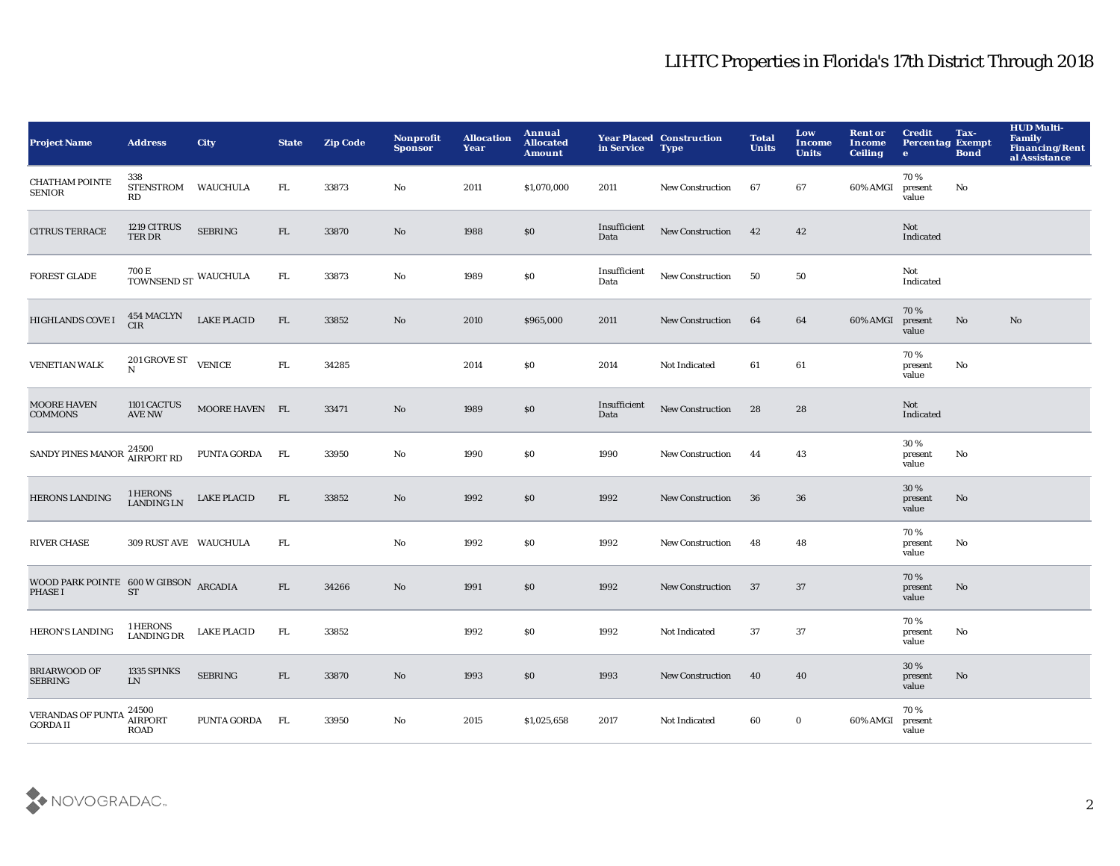| <b>Project Name</b>                                     | <b>Address</b>                               | <b>City</b>        | <b>State</b> | <b>Zip Code</b> | Nonprofit<br><b>Sponsor</b> | <b>Allocation</b><br>Year | <b>Annual</b><br><b>Allocated</b><br><b>Amount</b> | in Service           | <b>Year Placed Construction</b><br><b>Type</b> | <b>Total</b><br><b>Units</b> | Low<br><b>Income</b><br><b>Units</b> | <b>Rent or</b><br><b>Income</b><br><b>Ceiling</b> | <b>Credit</b><br><b>Percentag Exempt</b><br>$\bullet$ | Tax-<br><b>Bond</b> | <b>HUD Multi-</b><br><b>Family</b><br>Financing/Rent<br>al Assistance |
|---------------------------------------------------------|----------------------------------------------|--------------------|--------------|-----------------|-----------------------------|---------------------------|----------------------------------------------------|----------------------|------------------------------------------------|------------------------------|--------------------------------------|---------------------------------------------------|-------------------------------------------------------|---------------------|-----------------------------------------------------------------------|
| <b>CHATHAM POINTE</b><br><b>SENIOR</b>                  | 338<br><b>STENSTROM</b><br>RD                | <b>WAUCHULA</b>    | FL.          | 33873           | No                          | 2011                      | \$1,070,000                                        | 2011                 | New Construction                               | 67                           | 67                                   | 60% AMGI                                          | 70%<br>present<br>value                               | No                  |                                                                       |
| <b>CITRUS TERRACE</b>                                   | 1219 CITRUS<br>TER DR                        | <b>SEBRING</b>     | FL           | 33870           | $\mathbf{N}\mathbf{o}$      | 1988                      | $\$0$                                              | Insufficient<br>Data | New Construction                               | 42                           | 42                                   |                                                   | Not<br>Indicated                                      |                     |                                                                       |
| <b>FOREST GLADE</b>                                     | $700\,\mathrm{E}$ TOWNSEND ST WAUCHULA       |                    | FL           | 33873           | No                          | 1989                      | $\$0$                                              | Insufficient<br>Data | New Construction                               | 50                           | 50                                   |                                                   | Not<br>Indicated                                      |                     |                                                                       |
| HIGHLANDS COVE I                                        | <b>454 MACLYN</b><br><b>CIR</b>              | <b>LAKE PLACID</b> | FL           | 33852           | No                          | 2010                      | \$965,000                                          | 2011                 | New Construction                               | 64                           | 64                                   | 60% AMGI                                          | 70%<br>present<br>value                               | No                  | No                                                                    |
| <b>VENETIAN WALK</b>                                    | $201$ GROVE ST $\quad$ VENICE<br>$\mathbf N$ |                    | ${\rm FL}$   | 34285           |                             | 2014                      | \$0                                                | 2014                 | Not Indicated                                  | 61                           | 61                                   |                                                   | 70 %<br>present<br>value                              | No                  |                                                                       |
| <b>MOORE HAVEN</b><br><b>COMMONS</b>                    | 1101 CACTUS<br><b>AVE NW</b>                 | MOORE HAVEN FL     |              | 33471           | No                          | 1989                      | $\$0$                                              | Insufficient<br>Data | New Construction                               | 28                           | 28                                   |                                                   | Not<br>Indicated                                      |                     |                                                                       |
| <b>SANDY PINES MANOR</b>                                | 24500<br>AIRPORT RD                          | PUNTA GORDA        | <b>FL</b>    | 33950           | No                          | 1990                      | \$0                                                | 1990                 | New Construction                               | 44                           | 43                                   |                                                   | 30 %<br>present<br>value                              | No                  |                                                                       |
| <b>HERONS LANDING</b>                                   | 1 HERONS<br>LANDING LN                       | <b>LAKE PLACID</b> | FL           | 33852           | No                          | 1992                      | $\$0$                                              | 1992                 | New Construction                               | 36                           | 36                                   |                                                   | 30 %<br>present<br>value                              | No                  |                                                                       |
| <b>RIVER CHASE</b>                                      | 309 RUST AVE WAUCHULA                        |                    | FL.          |                 | $\mathbf{No}$               | 1992                      | \$0                                                | 1992                 | <b>New Construction</b>                        | 48                           | 48                                   |                                                   | 70%<br>present<br>value                               | No                  |                                                                       |
| WOOD PARK POINTE 600 W GIBSON ARCADIA<br><b>PHASE I</b> | <b>ST</b>                                    |                    | FL.          | 34266           | No                          | 1991                      | \$0                                                | 1992                 | <b>New Construction</b>                        | 37                           | 37                                   |                                                   | 70%<br>present<br>value                               | No                  |                                                                       |
| <b>HERON'S LANDING</b>                                  | 1 HERONS<br>LANDING DR                       | <b>LAKE PLACID</b> | FL.          | 33852           |                             | 1992                      | \$0                                                | 1992                 | Not Indicated                                  | 37                           | 37                                   |                                                   | 70%<br>present<br>value                               | No                  |                                                                       |
| <b>BRIARWOOD OF</b><br><b>SEBRING</b>                   | 1335 SPINKS<br>LN                            | SEBRING            | FL           | 33870           | $\mathbf{N}\mathbf{o}$      | 1993                      | \$0                                                | 1993                 | <b>New Construction</b>                        | 40                           | 40                                   |                                                   | 30 %<br>present<br>value                              | No                  |                                                                       |
| <b>VERANDAS OF PUNTA</b><br><b>GORDA II</b>             | 24500<br><b>AIRPORT</b><br><b>ROAD</b>       | PUNTA GORDA        | FL.          | 33950           | No                          | 2015                      | \$1,025,658                                        | 2017                 | Not Indicated                                  | 60                           | $\bf{0}$                             | 60% AMGI                                          | 70%<br>present<br>value                               |                     |                                                                       |

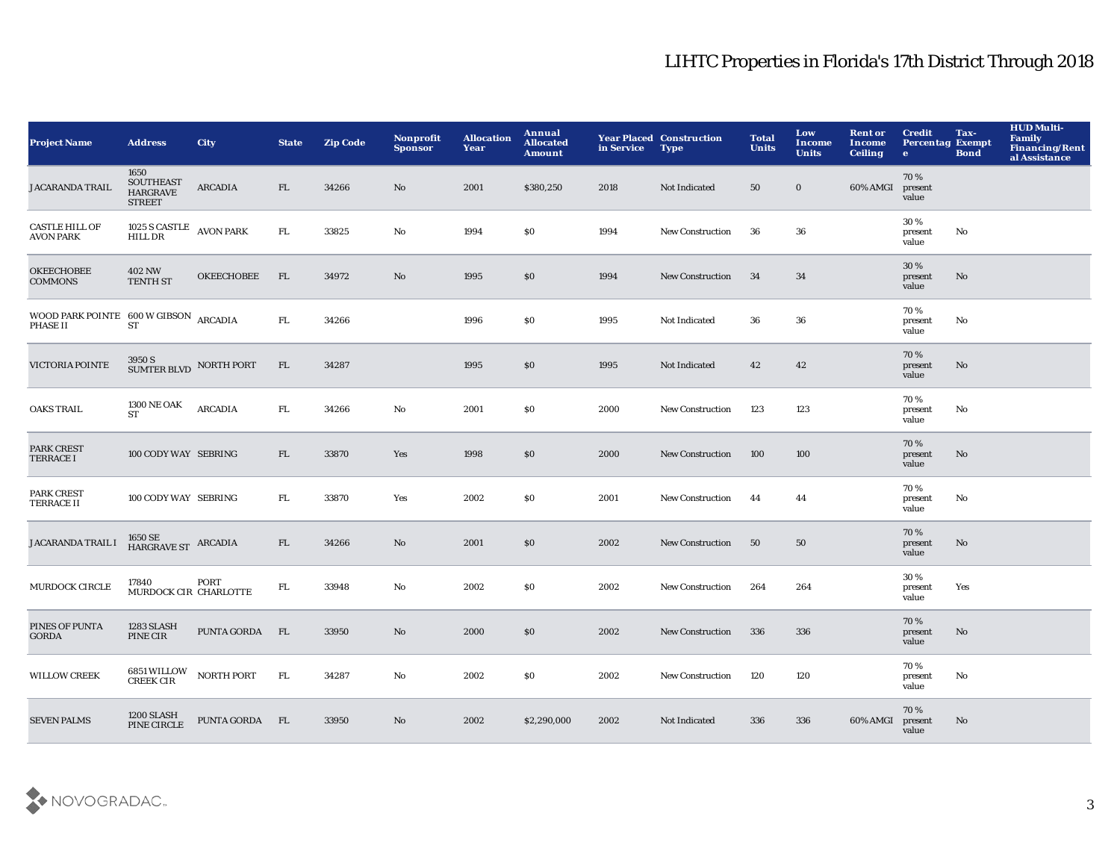| <b>Project Name</b>                                 | <b>Address</b>                                        | <b>City</b>       | <b>State</b> | <b>Zip Code</b> | <b>Nonprofit</b><br><b>Sponsor</b> | <b>Allocation</b><br>Year | Annual<br><b>Allocated</b><br><b>Amount</b> | in Service | <b>Year Placed Construction</b><br><b>Type</b> | <b>Total</b><br><b>Units</b> | Low<br><b>Income</b><br><b>Units</b> | <b>Rent or</b><br>Income<br><b>Ceiling</b> | <b>Credit</b><br><b>Percentag Exempt</b><br>$\mathbf{e}$ | Tax-<br><b>Bond</b> | <b>HUD Multi-</b><br>Family<br>Financing/Rent<br>al Assistance |
|-----------------------------------------------------|-------------------------------------------------------|-------------------|--------------|-----------------|------------------------------------|---------------------------|---------------------------------------------|------------|------------------------------------------------|------------------------------|--------------------------------------|--------------------------------------------|----------------------------------------------------------|---------------------|----------------------------------------------------------------|
| <b>JACARANDA TRAIL</b>                              | 1650<br>SOUTHEAST<br><b>HARGRAVE</b><br><b>STREET</b> | <b>ARCADIA</b>    | FL           | 34266           | $\mathbf{N}\mathbf{o}$             | 2001                      | \$380,250                                   | 2018       | Not Indicated                                  | ${\bf 50}$                   | $\bf{0}$                             | 60% AMGI                                   | 70%<br>present<br>value                                  |                     |                                                                |
| <b>CASTLE HILL OF</b><br><b>AVON PARK</b>           | $1025$ S CASTLE $\;$ AVON PARK HILL DR                |                   | ${\rm FL}$   | 33825           | $\rm No$                           | 1994                      | \$0                                         | 1994       | New Construction                               | 36                           | 36                                   |                                            | 30%<br>present<br>value                                  | No                  |                                                                |
| <b>OKEECHOBEE</b><br><b>COMMONS</b>                 | <b>402 NW</b><br><b>TENTH ST</b>                      | <b>OKEECHOBEE</b> | FL           | 34972           | $\mathbf{N}\mathbf{o}$             | 1995                      | \$0                                         | 1994       | <b>New Construction</b>                        | 34                           | 34                                   |                                            | 30 %<br>present<br>value                                 | No                  |                                                                |
| WOOD PARK POINTE $600$ W GIBSON ARCADIA<br>PHASE II | <b>ST</b>                                             |                   | FL.          | 34266           |                                    | 1996                      | \$0                                         | 1995       | Not Indicated                                  | 36                           | 36                                   |                                            | 70%<br>present<br>value                                  | No                  |                                                                |
| VICTORIA POINTE                                     | $3950\,\mathrm{S}$ SUMTER BLVD $\,$ NORTH PORT        |                   | FL           | 34287           |                                    | 1995                      | \$0                                         | 1995       | Not Indicated                                  | 42                           | 42                                   |                                            | 70%<br>present<br>value                                  | No                  |                                                                |
| <b>OAKS TRAIL</b>                                   | <b>1300 NE OAK</b><br><b>ST</b>                       | $\rm ARCADIA$     | FL.          | 34266           | No                                 | 2001                      | <b>SO</b>                                   | 2000       | <b>New Construction</b>                        | 123                          | 123                                  |                                            | 70%<br>present<br>value                                  | No                  |                                                                |
| PARK CREST<br><b>TERRACE I</b>                      | 100 CODY WAY SEBRING                                  |                   | FL.          | 33870           | Yes                                | 1998                      | \$0                                         | 2000       | <b>New Construction</b>                        | 100                          | 100                                  |                                            | 70%<br>present<br>value                                  | No                  |                                                                |
| <b>PARK CREST</b><br><b>TERRACE II</b>              | 100 CODY WAY SEBRING                                  |                   | FL.          | 33870           | Yes                                | 2002                      | \$0                                         | 2001       | <b>New Construction</b>                        | 44                           | 44                                   |                                            | 70%<br>present<br>value                                  | No                  |                                                                |
| JACARANDA TRAIL I                                   | $1650\,\mathrm{SE}$ ARCADIA HARGRAVE ST               |                   | FL           | 34266           | $\mathbf{N}\mathbf{o}$             | 2001                      | \$0                                         | 2002       | <b>New Construction</b>                        | 50                           | 50                                   |                                            | 70 %<br>present<br>value                                 | No                  |                                                                |
| <b>MURDOCK CIRCLE</b>                               | 17840<br>MURDOCK CIR CHARLOTTE                        | PORT              | FL.          | 33948           | No                                 | 2002                      | \$0                                         | 2002       | New Construction                               | 264                          | 264                                  |                                            | 30%<br>present<br>value                                  | Yes                 |                                                                |
| PINES OF PUNTA<br><b>GORDA</b>                      | 1283 SLASH<br>PINE CIR                                | PUNTA GORDA       | FL           | 33950           | $\mathbf{N}\mathbf{o}$             | 2000                      | \$0                                         | 2002       | <b>New Construction</b>                        | 336                          | 336                                  |                                            | 70%<br>present<br>value                                  | No                  |                                                                |
| <b>WILLOW CREEK</b>                                 | <b>6851 WILLOW</b><br><b>CREEK CIR</b>                | <b>NORTH PORT</b> | FL.          | 34287           | No                                 | 2002                      | <b>SO</b>                                   | 2002       | <b>New Construction</b>                        | 120                          | 120                                  |                                            | 70%<br>present<br>value                                  | No                  |                                                                |
| <b>SEVEN PALMS</b>                                  | 1200 SLASH<br>PINE CIRCLE                             | PUNTA GORDA FL    |              | 33950           | No                                 | 2002                      | \$2,290,000                                 | 2002       | Not Indicated                                  | 336                          | 336                                  | 60% AMGI                                   | 70%<br>present<br>value                                  | No                  |                                                                |

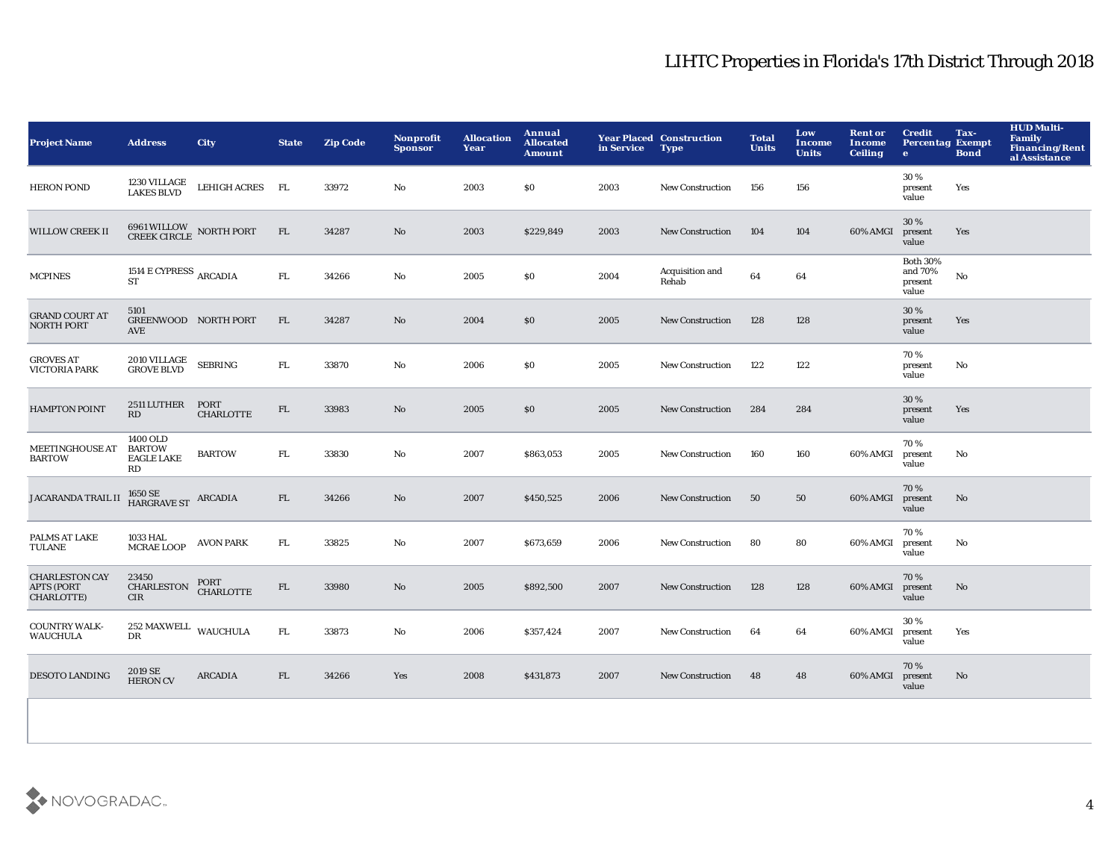| <b>Project Name</b>                                      | <b>Address</b>                                              | <b>City</b>              | <b>State</b> | <b>Zip Code</b> | Nonprofit<br><b>Sponsor</b> | <b>Allocation</b><br>Year | Annual<br><b>Allocated</b><br><b>Amount</b> | in Service | <b>Year Placed Construction</b><br><b>Type</b> | <b>Total</b><br><b>Units</b> | Low<br><b>Income</b><br><b>Units</b> | <b>Rent or</b><br>Income<br><b>Ceiling</b> | <b>Credit</b><br><b>Percentag Exempt</b><br>$\bullet$ | Tax-<br><b>Bond</b> | <b>HUD Multi-</b><br>Family<br><b>Financing/Rent</b><br>al Assistance |
|----------------------------------------------------------|-------------------------------------------------------------|--------------------------|--------------|-----------------|-----------------------------|---------------------------|---------------------------------------------|------------|------------------------------------------------|------------------------------|--------------------------------------|--------------------------------------------|-------------------------------------------------------|---------------------|-----------------------------------------------------------------------|
| <b>HERON POND</b>                                        | 1230 VILLAGE<br>LAKES BLVD                                  | LEHIGH ACRES FL          |              | 33972           | No                          | 2003                      | \$0                                         | 2003       | <b>New Construction</b>                        | 156                          | 156                                  |                                            | 30%<br>present<br>value                               | Yes                 |                                                                       |
| <b>WILLOW CREEK II</b>                                   | 6961 WILLOW NORTH PORT CREEK CIRCLE                         |                          | FL.          | 34287           | No                          | 2003                      | \$229,849                                   | 2003       | <b>New Construction</b>                        | 104                          | 104                                  | 60% AMGI                                   | 30%<br>present<br>value                               | Yes                 |                                                                       |
| <b>MCPINES</b>                                           | 1514 $\rm E$ CYPRESS $\rm_{ARCADIA}$<br><b>ST</b>           |                          | ${\rm FL}$   | 34266           | No                          | 2005                      | \$0                                         | 2004       | Acquisition and<br>Rehab                       | 64                           | 64                                   |                                            | <b>Both 30%</b><br>and 70%<br>present<br>value        | $\mathbf{No}$       |                                                                       |
| <b>GRAND COURT AT</b><br><b>NORTH PORT</b>               | 5101<br>GREENWOOD NORTH PORT<br>AVE                         |                          | ${\rm FL}$   | 34287           | No                          | 2004                      | \$0                                         | 2005       | <b>New Construction</b>                        | 128                          | 128                                  |                                            | 30 %<br>present<br>value                              | Yes                 |                                                                       |
| <b>GROVES AT</b><br><b>VICTORIA PARK</b>                 | 2010 VILLAGE<br><b>GROVE BLVD</b>                           | <b>SEBRING</b>           | FL.          | 33870           | No                          | 2006                      | \$0                                         | 2005       | New Construction                               | 122                          | 122                                  |                                            | 70%<br>present<br>value                               | No                  |                                                                       |
| <b>HAMPTON POINT</b>                                     | 2511 LUTHER<br>RD                                           | PORT<br><b>CHARLOTTE</b> | ${\rm FL}$   | 33983           | No                          | 2005                      | \$0                                         | 2005       | <b>New Construction</b>                        | 284                          | 284                                  |                                            | 30 %<br>present<br>value                              | Yes                 |                                                                       |
| <b>MEETINGHOUSE AT</b><br><b>BARTOW</b>                  | 1400 OLD<br><b>BARTOW</b><br><b>EAGLE LAKE</b><br><b>RD</b> | <b>BARTOW</b>            | ${\rm FL}$   | 33830           | No                          | 2007                      | \$863,053                                   | 2005       | <b>New Construction</b>                        | 160                          | 160                                  | 60% AMGI                                   | 70%<br>present<br>value                               | No                  |                                                                       |
| <b>JACARANDA TRAIL II</b>                                | $1650\,\mathrm{SE}$ ARCADIA HARGRAVE ST                     |                          | FL           | 34266           | No                          | 2007                      | \$450,525                                   | 2006       | <b>New Construction</b>                        | 50                           | 50                                   | 60% AMGI                                   | 70%<br>present<br>value                               | No                  |                                                                       |
| PALMS AT LAKE<br>TULANE                                  | 1033 HAL<br><b>MCRAE LOOP</b>                               | <b>AVON PARK</b>         | FL.          | 33825           | No                          | 2007                      | \$673,659                                   | 2006       | <b>New Construction</b>                        | 80                           | 80                                   | 60% AMGI                                   | 70%<br>present<br>value                               | No                  |                                                                       |
| <b>CHARLESTON CAY</b><br><b>APTS (PORT</b><br>CHARLOTTE) | 23450<br><b>CHARLESTON</b><br><b>CIR</b>                    | PORT<br><b>CHARLOTTE</b> | ${\rm FL}$   | 33980           | No                          | 2005                      | \$892,500                                   | 2007       | <b>New Construction</b>                        | 128                          | 128                                  | 60% AMGI                                   | 70%<br>present<br>value                               | No                  |                                                                       |
| <b>COUNTRY WALK-</b><br><b>WAUCHULA</b>                  | 252 MAXWELL WAUCHULA<br>$_{\rm DR}$                         |                          | FL.          | 33873           | No                          | 2006                      | \$357,424                                   | 2007       | <b>New Construction</b>                        | 64                           | 64                                   | 60% AMGI                                   | 30%<br>present<br>value                               | Yes                 |                                                                       |
| <b>DESOTO LANDING</b>                                    | 2019 SE<br><b>HERON CV</b>                                  | <b>ARCADIA</b>           | FL           | 34266           | Yes                         | 2008                      | \$431,873                                   | 2007       | <b>New Construction</b>                        | 48                           | 48                                   | 60% AMGI                                   | 70%<br>present<br>value                               | No                  |                                                                       |
|                                                          |                                                             |                          |              |                 |                             |                           |                                             |            |                                                |                              |                                      |                                            |                                                       |                     |                                                                       |